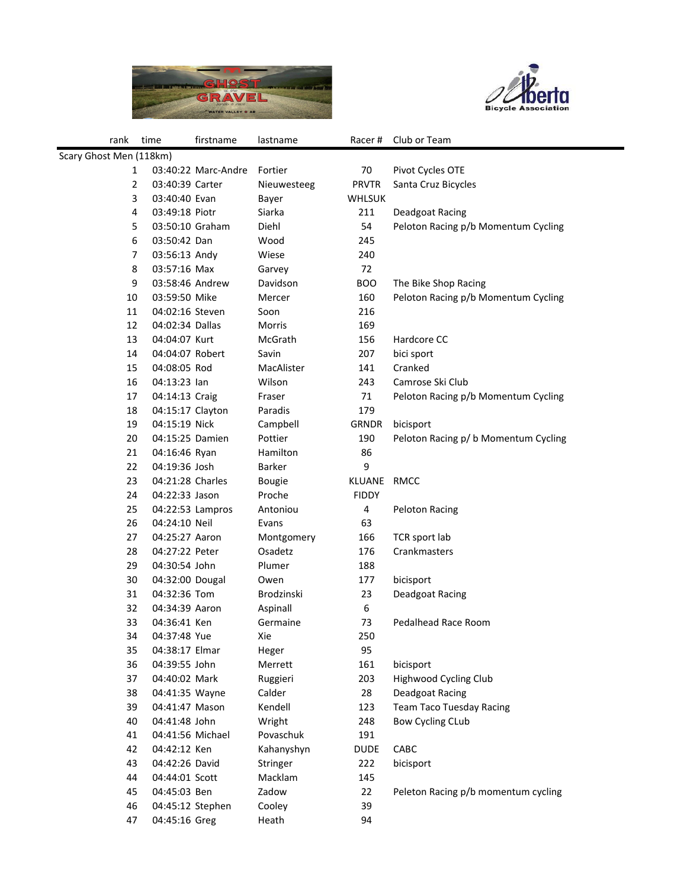



| rank                    | time                              | firstname           | lastname         | Racer#        | Club or Team                         |  |
|-------------------------|-----------------------------------|---------------------|------------------|---------------|--------------------------------------|--|
| Scary Ghost Men (118km) |                                   |                     |                  |               |                                      |  |
| 1                       |                                   | 03:40:22 Marc-Andre | Fortier          | 70            | Pivot Cycles OTE                     |  |
| 2                       | 03:40:39 Carter                   |                     | Nieuwesteeg      | <b>PRVTR</b>  | Santa Cruz Bicycles                  |  |
| 3                       | 03:40:40 Evan                     |                     | Bayer            | <b>WHLSUK</b> |                                      |  |
| 4                       | 03:49:18 Piotr                    |                     | Siarka           | 211           | Deadgoat Racing                      |  |
| 5                       | 03:50:10 Graham                   |                     | Diehl            | 54            | Peloton Racing p/b Momentum Cycling  |  |
| 6                       | 03:50:42 Dan                      |                     | Wood             | 245           |                                      |  |
| 7                       | 03:56:13 Andy                     |                     | Wiese            | 240           |                                      |  |
| 8                       | 03:57:16 Max                      |                     | Garvey           | 72            |                                      |  |
| 9                       | 03:58:46 Andrew                   |                     | Davidson         | <b>BOO</b>    | The Bike Shop Racing                 |  |
| 10                      | 03:59:50 Mike                     |                     | Mercer           | 160           | Peloton Racing p/b Momentum Cycling  |  |
| 11                      | 04:02:16 Steven                   |                     | Soon             | 216           |                                      |  |
| 12                      | 04:02:34 Dallas                   |                     | Morris           | 169           |                                      |  |
| 13                      | 04:04:07 Kurt                     |                     | McGrath          | 156           | Hardcore CC                          |  |
| 14                      | 04:04:07 Robert                   |                     | Savin            | 207           | bici sport                           |  |
| 15                      | 04:08:05 Rod                      |                     | MacAlister       | 141           | Cranked                              |  |
| 16                      | 04:13:23 lan                      |                     | Wilson           | 243           | Camrose Ski Club                     |  |
| 17                      | 04:14:13 Craig                    |                     | Fraser           | 71            | Peloton Racing p/b Momentum Cycling  |  |
| 18                      | 04:15:17 Clayton                  |                     | Paradis          | 179           |                                      |  |
| 19                      | 04:15:19 Nick                     |                     | Campbell         | <b>GRNDR</b>  | bicisport                            |  |
| 20                      | 04:15:25 Damien                   |                     | Pottier          | 190           | Peloton Racing p/ b Momentum Cycling |  |
| 21                      | 04:16:46 Ryan                     |                     | Hamilton         | 86            |                                      |  |
| 22                      | 04:19:36 Josh                     |                     | <b>Barker</b>    | 9             |                                      |  |
| 23                      | 04:21:28 Charles                  |                     | <b>Bougie</b>    | <b>KLUANE</b> | <b>RMCC</b>                          |  |
| 24                      | 04:22:33 Jason                    |                     | Proche           | <b>FIDDY</b>  |                                      |  |
| 25                      |                                   | 04:22:53 Lampros    | Antoniou         | 4             | <b>Peloton Racing</b>                |  |
| 26                      | 04:24:10 Neil                     |                     | Evans            | 63            |                                      |  |
| 27                      | 04:25:27 Aaron                    |                     | Montgomery       | 166           | TCR sport lab                        |  |
| 28                      | 04:27:22 Peter                    |                     | Osadetz          | 176           | Crankmasters                         |  |
| 29                      | 04:30:54 John                     |                     | Plumer           | 188           |                                      |  |
| 30                      | 04:32:00 Dougal                   |                     | Owen             | 177           | bicisport                            |  |
| 31                      | 04:32:36 Tom                      |                     | Brodzinski       | 23            | Deadgoat Racing                      |  |
| 32                      | 04:34:39 Aaron                    |                     | Aspinall         | 6             |                                      |  |
| 33                      | 04:36:41 Ken                      |                     | Germaine         | 73            | Pedalhead Race Room                  |  |
| 34                      | 04:37:48 Yue                      |                     | Xie              | 250           |                                      |  |
| 35                      | 04:38:17 Elmar                    |                     | Heger            | 95            |                                      |  |
| 36                      | 04:39:55 John                     |                     | Merrett          | 161           | bicisport                            |  |
| 37                      | 04:40:02 Mark                     |                     | Ruggieri         | 203           | Highwood Cycling Club                |  |
| 38                      | 04:41:35 Wayne                    |                     | Calder           | 28            | Deadgoat Racing                      |  |
| 39                      | 04:41:47 Mason                    |                     | Kendell          | 123           | <b>Team Taco Tuesday Racing</b>      |  |
| 40<br>41                | 04:41:48 John<br>04:41:56 Michael |                     | Wright           | 248           | <b>Bow Cycling CLub</b>              |  |
|                         |                                   |                     | Povaschuk        | 191           |                                      |  |
| 42                      | 04:42:12 Ken                      |                     | Kahanyshyn       | <b>DUDE</b>   | CABC                                 |  |
| 43                      | 04:42:26 David                    |                     | Stringer         | 222           | bicisport                            |  |
| 44<br>45                | 04:44:01 Scott                    |                     | Macklam<br>Zadow | 145<br>22     |                                      |  |
| 46                      | 04:45:03 Ben<br>04:45:12 Stephen  |                     |                  | 39            | Peleton Racing p/b momentum cycling  |  |
| 47                      | 04:45:16 Greg                     |                     | Cooley<br>Heath  | 94            |                                      |  |
|                         |                                   |                     |                  |               |                                      |  |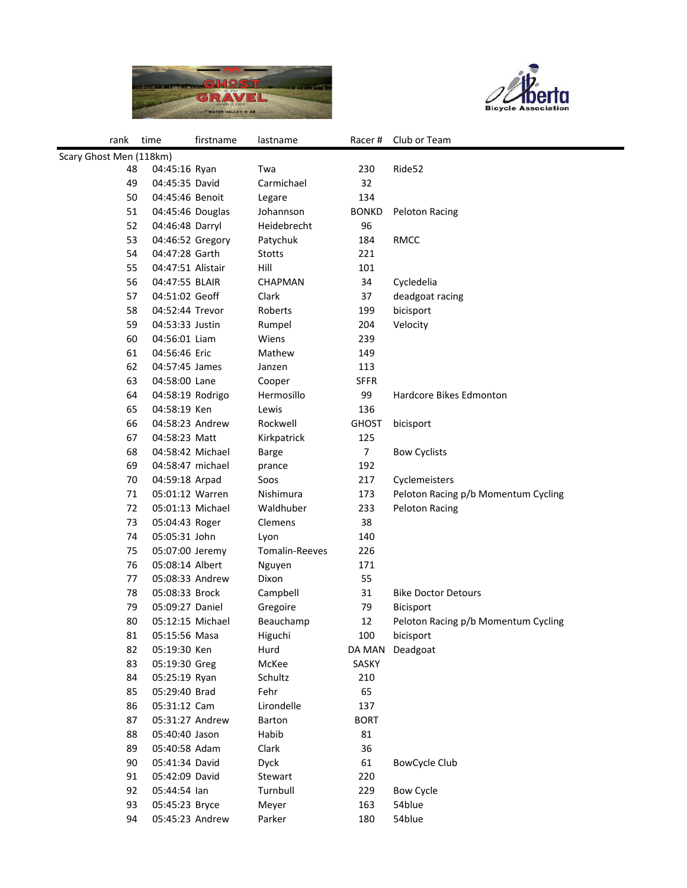



| rank                    | time              | firstname | lastname       | Racer#         | Club or Team                        |  |
|-------------------------|-------------------|-----------|----------------|----------------|-------------------------------------|--|
| Scary Ghost Men (118km) |                   |           |                |                |                                     |  |
| 48                      | 04:45:16 Ryan     |           | Twa            | 230            | Ride52                              |  |
| 49                      | 04:45:35 David    |           | Carmichael     | 32             |                                     |  |
| 50                      | 04:45:46 Benoit   |           | Legare         | 134            |                                     |  |
| 51                      | 04:45:46 Douglas  |           | Johannson      | <b>BONKD</b>   | <b>Peloton Racing</b>               |  |
| 52                      | 04:46:48 Darryl   |           | Heidebrecht    | 96             |                                     |  |
| 53                      | 04:46:52 Gregory  |           | Patychuk       | 184            | <b>RMCC</b>                         |  |
| 54                      | 04:47:28 Garth    |           | Stotts         | 221            |                                     |  |
| 55                      | 04:47:51 Alistair |           | Hill           | 101            |                                     |  |
| 56                      | 04:47:55 BLAIR    |           | CHAPMAN        | 34             | Cycledelia                          |  |
| 57                      | 04:51:02 Geoff    |           | Clark          | 37             | deadgoat racing                     |  |
| 58                      | 04:52:44 Trevor   |           | Roberts        | 199            | bicisport                           |  |
| 59                      | 04:53:33 Justin   |           | Rumpel         | 204            | Velocity                            |  |
| 60                      | 04:56:01 Liam     |           | Wiens          | 239            |                                     |  |
| 61                      | 04:56:46 Eric     |           | Mathew         | 149            |                                     |  |
| 62                      | 04:57:45 James    |           | Janzen         | 113            |                                     |  |
| 63                      | 04:58:00 Lane     |           | Cooper         | <b>SFFR</b>    |                                     |  |
| 64                      | 04:58:19 Rodrigo  |           | Hermosillo     | 99             | <b>Hardcore Bikes Edmonton</b>      |  |
| 65                      | 04:58:19 Ken      |           | Lewis          | 136            |                                     |  |
| 66                      | 04:58:23 Andrew   |           | Rockwell       | <b>GHOST</b>   | bicisport                           |  |
| 67                      | 04:58:23 Matt     |           | Kirkpatrick    | 125            |                                     |  |
| 68                      | 04:58:42 Michael  |           | <b>Barge</b>   | $\overline{7}$ | <b>Bow Cyclists</b>                 |  |
| 69                      | 04:58:47 michael  |           | prance         | 192            |                                     |  |
| 70                      | 04:59:18 Arpad    |           | Soos           | 217            | Cyclemeisters                       |  |
| 71                      | 05:01:12 Warren   |           | Nishimura      | 173            | Peloton Racing p/b Momentum Cycling |  |
| 72                      | 05:01:13 Michael  |           | Waldhuber      | 233            | <b>Peloton Racing</b>               |  |
| 73                      | 05:04:43 Roger    |           | Clemens        | 38             |                                     |  |
| 74                      | 05:05:31 John     |           | Lyon           | 140            |                                     |  |
| 75                      | 05:07:00 Jeremy   |           | Tomalin-Reeves | 226            |                                     |  |
| 76                      | 05:08:14 Albert   |           | Nguyen         | 171            |                                     |  |
| 77                      | 05:08:33 Andrew   |           | Dixon          | 55             |                                     |  |
| 78                      | 05:08:33 Brock    |           | Campbell       | 31             | <b>Bike Doctor Detours</b>          |  |
| 79                      | 05:09:27 Daniel   |           | Gregoire       | 79             | <b>Bicisport</b>                    |  |
| 80                      | 05:12:15 Michael  |           | Beauchamp      | 12             | Peloton Racing p/b Momentum Cycling |  |
| 81                      | 05:15:56 Masa     |           | Higuchi        | 100            | bicisport                           |  |
| 82                      | 05:19:30 Ken      |           | Hurd           |                | DA MAN Deadgoat                     |  |
| 83                      | 05:19:30 Greg     |           | McKee          | SASKY          |                                     |  |
| 84                      | 05:25:19 Ryan     |           | Schultz        | 210            |                                     |  |
| 85                      | 05:29:40 Brad     |           | Fehr           | 65             |                                     |  |
| 86                      | 05:31:12 Cam      |           | Lirondelle     | 137            |                                     |  |
| 87                      | 05:31:27 Andrew   |           | Barton         | <b>BORT</b>    |                                     |  |
| 88                      | 05:40:40 Jason    |           | Habib          | 81             |                                     |  |
| 89                      | 05:40:58 Adam     |           | Clark          | 36             |                                     |  |
| 90                      | 05:41:34 David    |           | Dyck           | 61             | <b>BowCycle Club</b>                |  |
| 91                      | 05:42:09 David    |           | Stewart        | 220            |                                     |  |
| 92                      | 05:44:54 lan      |           | Turnbull       | 229            | <b>Bow Cycle</b>                    |  |
| 93                      | 05:45:23 Bryce    |           | Meyer          | 163            | 54blue                              |  |
| 94                      | 05:45:23 Andrew   |           | Parker         | 180            | 54blue                              |  |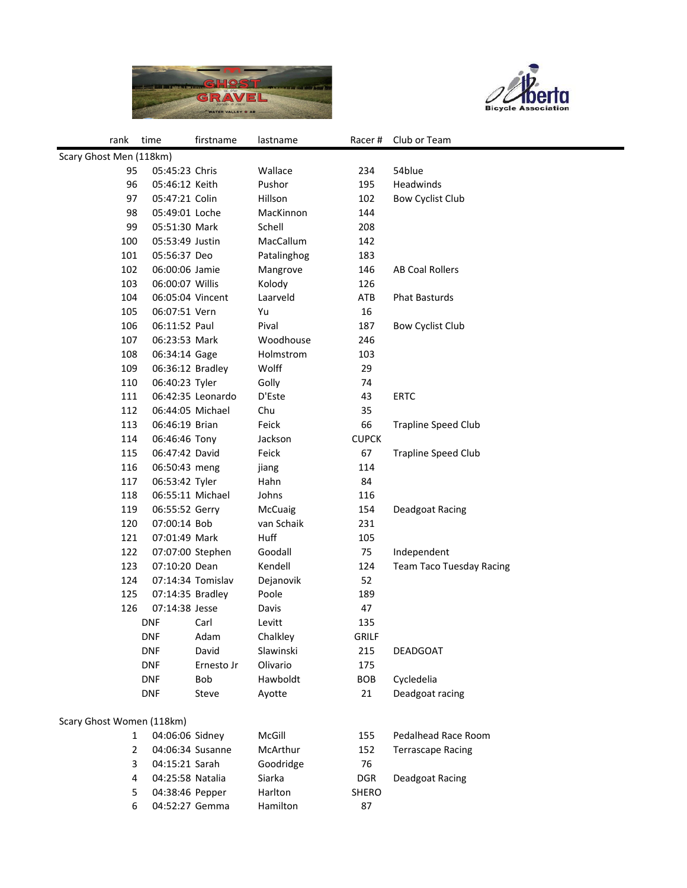



| rank                      | time             | firstname         | lastname    |              | Racer # Club or Team            |  |
|---------------------------|------------------|-------------------|-------------|--------------|---------------------------------|--|
| Scary Ghost Men (118km)   |                  |                   |             |              |                                 |  |
| 95                        | 05:45:23 Chris   |                   | Wallace     | 234          | 54blue                          |  |
| 96                        | 05:46:12 Keith   |                   | Pushor      | 195          | Headwinds                       |  |
| 97                        | 05:47:21 Colin   |                   | Hillson     | 102          | <b>Bow Cyclist Club</b>         |  |
| 98                        | 05:49:01 Loche   |                   | MacKinnon   | 144          |                                 |  |
| 99                        | 05:51:30 Mark    |                   | Schell      | 208          |                                 |  |
| 100                       | 05:53:49 Justin  |                   | MacCallum   | 142          |                                 |  |
| 101                       | 05:56:37 Deo     |                   | Patalinghog | 183          |                                 |  |
| 102                       | 06:00:06 Jamie   |                   | Mangrove    | 146          | AB Coal Rollers                 |  |
| 103                       | 06:00:07 Willis  |                   | Kolody      | 126          |                                 |  |
| 104                       | 06:05:04 Vincent |                   | Laarveld    | ATB          | <b>Phat Basturds</b>            |  |
| 105                       | 06:07:51 Vern    |                   | Yu          | 16           |                                 |  |
| 106                       | 06:11:52 Paul    |                   | Pival       | 187          | <b>Bow Cyclist Club</b>         |  |
| 107                       | 06:23:53 Mark    |                   | Woodhouse   | 246          |                                 |  |
| 108                       | 06:34:14 Gage    |                   | Holmstrom   | 103          |                                 |  |
| 109                       | 06:36:12 Bradley |                   | Wolff       | 29           |                                 |  |
| 110                       | 06:40:23 Tyler   |                   | Golly       | 74           |                                 |  |
| 111                       |                  | 06:42:35 Leonardo | D'Este      | 43           | <b>ERTC</b>                     |  |
| 112                       | 06:44:05 Michael |                   | Chu         | 35           |                                 |  |
| 113                       | 06:46:19 Brian   |                   | Feick       | 66           | <b>Trapline Speed Club</b>      |  |
| 114                       | 06:46:46 Tony    |                   | Jackson     | <b>CUPCK</b> |                                 |  |
| 115                       | 06:47:42 David   |                   | Feick       | 67           | <b>Trapline Speed Club</b>      |  |
| 116                       | 06:50:43 meng    |                   | jiang       | 114          |                                 |  |
| 117                       | 06:53:42 Tyler   |                   | Hahn        | 84           |                                 |  |
| 118                       | 06:55:11 Michael |                   | Johns       | 116          |                                 |  |
| 119                       | 06:55:52 Gerry   |                   | McCuaig     | 154          | Deadgoat Racing                 |  |
| 120                       | 07:00:14 Bob     |                   | van Schaik  | 231          |                                 |  |
| 121                       | 07:01:49 Mark    |                   | Huff        | 105          |                                 |  |
| 122                       | 07:07:00 Stephen |                   | Goodall     | 75           | Independent                     |  |
| 123                       | 07:10:20 Dean    |                   | Kendell     | 124          | <b>Team Taco Tuesday Racing</b> |  |
| 124                       |                  | 07:14:34 Tomislav | Dejanovik   | 52           |                                 |  |
| 125                       | 07:14:35 Bradley |                   | Poole       | 189          |                                 |  |
| 126                       | 07:14:38 Jesse   |                   | Davis       | 47           |                                 |  |
|                           | <b>DNF</b>       | Carl              | Levitt      | 135          |                                 |  |
|                           | <b>DNF</b>       | Adam              | Chalkley    | <b>GRILF</b> |                                 |  |
|                           | <b>DNF</b>       | David             | Slawinski   | 215          | DEADGOAT                        |  |
|                           | <b>DNF</b>       | Ernesto Jr        | Olivario    | 175          |                                 |  |
|                           | <b>DNF</b>       | Bob               | Hawboldt    | BOB          | Cycledelia                      |  |
|                           | <b>DNF</b>       | Steve             | Ayotte      | 21           | Deadgoat racing                 |  |
|                           |                  |                   |             |              |                                 |  |
| Scary Ghost Women (118km) |                  |                   |             |              |                                 |  |
| 1                         | 04:06:06 Sidney  |                   | McGill      | 155          | Pedalhead Race Room             |  |
| $\overline{2}$            | 04:06:34 Susanne |                   | McArthur    | 152          | <b>Terrascape Racing</b>        |  |
| 3                         | 04:15:21 Sarah   |                   | Goodridge   | 76           |                                 |  |
| 4                         | 04:25:58 Natalia |                   | Siarka      | <b>DGR</b>   | Deadgoat Racing                 |  |
| 5                         | 04:38:46 Pepper  |                   | Harlton     | SHERO        |                                 |  |
| 6                         | 04:52:27 Gemma   |                   | Hamilton    | 87           |                                 |  |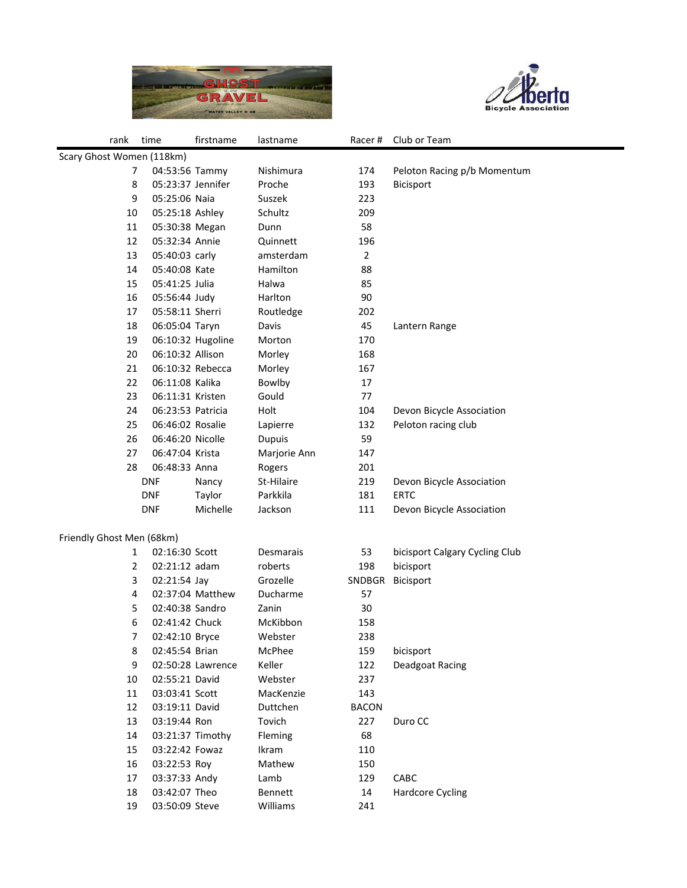



| rank                      | time              | firstname         | lastname      | Racer#         | Club or Team                   |  |
|---------------------------|-------------------|-------------------|---------------|----------------|--------------------------------|--|
| Scary Ghost Women (118km) |                   |                   |               |                |                                |  |
| 7                         | 04:53:56 Tammy    |                   | Nishimura     | 174            | Peloton Racing p/b Momentum    |  |
| 8                         | 05:23:37 Jennifer |                   | Proche        | 193            | <b>Bicisport</b>               |  |
| 9                         | 05:25:06 Naia     |                   | Suszek        | 223            |                                |  |
| 10                        | 05:25:18 Ashley   |                   | Schultz       | 209            |                                |  |
| 11                        | 05:30:38 Megan    |                   | Dunn          | 58             |                                |  |
| 12                        | 05:32:34 Annie    |                   | Quinnett      | 196            |                                |  |
| 13                        | 05:40:03 carly    |                   | amsterdam     | $\overline{2}$ |                                |  |
| 14                        | 05:40:08 Kate     |                   | Hamilton      | 88             |                                |  |
| 15                        | 05:41:25 Julia    |                   | Halwa         | 85             |                                |  |
| 16                        | 05:56:44 Judy     |                   | Harlton       | 90             |                                |  |
| 17                        | 05:58:11 Sherri   |                   | Routledge     | 202            |                                |  |
| 18                        | 06:05:04 Taryn    |                   | Davis         | 45             | Lantern Range                  |  |
| 19                        |                   | 06:10:32 Hugoline | Morton        | 170            |                                |  |
| 20                        | 06:10:32 Allison  |                   | Morley        | 168            |                                |  |
| 21                        | 06:10:32 Rebecca  |                   | Morley        | 167            |                                |  |
| 22                        | 06:11:08 Kalika   |                   | Bowlby        | 17             |                                |  |
| 23                        | 06:11:31 Kristen  |                   | Gould         | 77             |                                |  |
| 24                        | 06:23:53 Patricia |                   | Holt          | 104            | Devon Bicycle Association      |  |
| 25                        | 06:46:02 Rosalie  |                   | Lapierre      | 132            | Peloton racing club            |  |
| 26                        | 06:46:20 Nicolle  |                   | <b>Dupuis</b> | 59             |                                |  |
| 27                        | 06:47:04 Krista   |                   | Marjorie Ann  | 147            |                                |  |
| 28                        | 06:48:33 Anna     |                   | Rogers        | 201            |                                |  |
|                           | <b>DNF</b>        | Nancy             | St-Hilaire    | 219            | Devon Bicycle Association      |  |
|                           | <b>DNF</b>        | Taylor            | Parkkila      | 181            | <b>ERTC</b>                    |  |
|                           | <b>DNF</b>        | Michelle          | Jackson       | 111            | Devon Bicycle Association      |  |
|                           |                   |                   |               |                |                                |  |
| Friendly Ghost Men (68km) |                   |                   |               |                |                                |  |
| 1                         | 02:16:30 Scott    |                   | Desmarais     | 53             | bicisport Calgary Cycling Club |  |
| $\overline{2}$            | 02:21:12 adam     |                   | roberts       | 198            | bicisport                      |  |
| 3                         | 02:21:54 Jay      |                   | Grozelle      | SNDBGR         | <b>Bicisport</b>               |  |
| 4                         |                   | 02:37:04 Matthew  | Ducharme      | 57             |                                |  |
| 5                         | 02:40:38 Sandro   |                   | Zanin         | 30             |                                |  |
| 6                         | 02:41:42 Chuck    |                   | McKibbon      | 158            |                                |  |
| 7                         | 02:42:10 Bryce    |                   | Webster       | 238            |                                |  |
| 8                         | 02:45:54 Brian    |                   | McPhee        | 159            | bicisport                      |  |
| 9                         |                   | 02:50:28 Lawrence | Keller        | 122            | Deadgoat Racing                |  |
| 10                        | 02:55:21 David    |                   | Webster       | 237            |                                |  |
| 11                        | 03:03:41 Scott    |                   | MacKenzie     | 143            |                                |  |
| 12                        | 03:19:11 David    |                   | Duttchen      | <b>BACON</b>   |                                |  |
| 13                        | 03:19:44 Ron      |                   | Tovich        | 227            | Duro CC                        |  |
| 14                        | 03:21:37 Timothy  |                   | Fleming       | 68             |                                |  |
| 15                        | 03:22:42 Fowaz    |                   | Ikram         | 110            |                                |  |
| 16                        | 03:22:53 Roy      |                   | Mathew        | 150            |                                |  |
| 17                        | 03:37:33 Andy     |                   | Lamb          | 129            | CABC                           |  |
| 18                        | 03:42:07 Theo     |                   | Bennett       | 14             | <b>Hardcore Cycling</b>        |  |
| 19                        | 03:50:09 Steve    |                   | Williams      | 241            |                                |  |